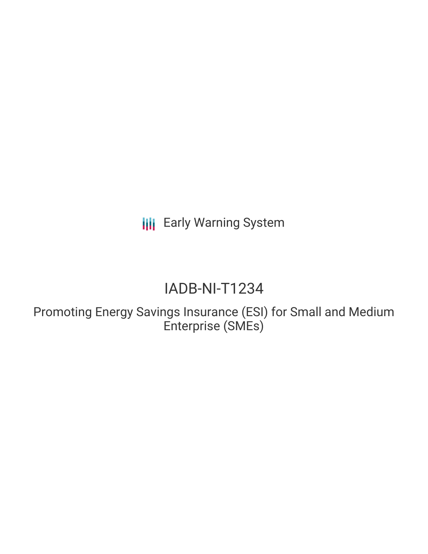**III** Early Warning System

# IADB-NI-T1234

Promoting Energy Savings Insurance (ESI) for Small and Medium Enterprise (SMEs)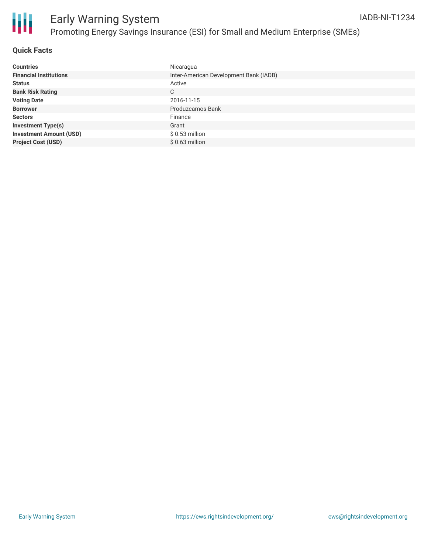



### **Quick Facts**

| <b>Countries</b>               | Nicaragua                              |
|--------------------------------|----------------------------------------|
| <b>Financial Institutions</b>  | Inter-American Development Bank (IADB) |
| <b>Status</b>                  | Active                                 |
| <b>Bank Risk Rating</b>        | C                                      |
| <b>Voting Date</b>             | 2016-11-15                             |
| <b>Borrower</b>                | Produzcamos Bank                       |
| <b>Sectors</b>                 | Finance                                |
| <b>Investment Type(s)</b>      | Grant                                  |
| <b>Investment Amount (USD)</b> | $$0.53$ million                        |
| <b>Project Cost (USD)</b>      | $$0.63$ million                        |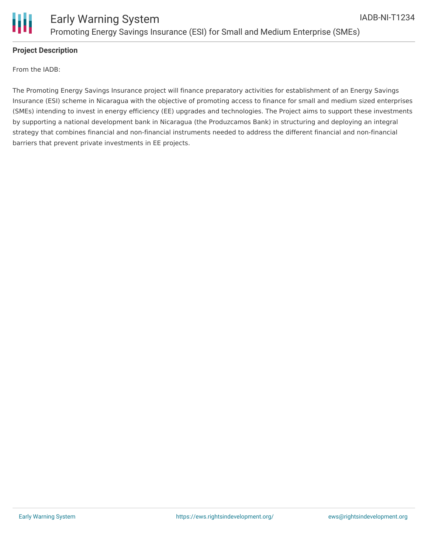



### **Project Description**

From the IADB:

The Promoting Energy Savings Insurance project will finance preparatory activities for establishment of an Energy Savings Insurance (ESI) scheme in Nicaragua with the objective of promoting access to finance for small and medium sized enterprises (SMEs) intending to invest in energy efficiency (EE) upgrades and technologies. The Project aims to support these investments by supporting a national development bank in Nicaragua (the Produzcamos Bank) in structuring and deploying an integral strategy that combines financial and non-financial instruments needed to address the different financial and non-financial barriers that prevent private investments in EE projects.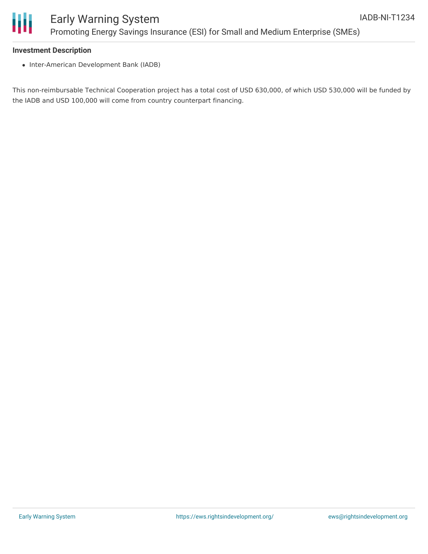

## Early Warning System Promoting Energy Savings Insurance (ESI) for Small and Medium Enterprise (SMEs)

### **Investment Description**

• Inter-American Development Bank (IADB)

This non-reimbursable Technical Cooperation project has a total cost of USD 630,000, of which USD 530,000 will be funded by the IADB and USD 100,000 will come from country counterpart financing.